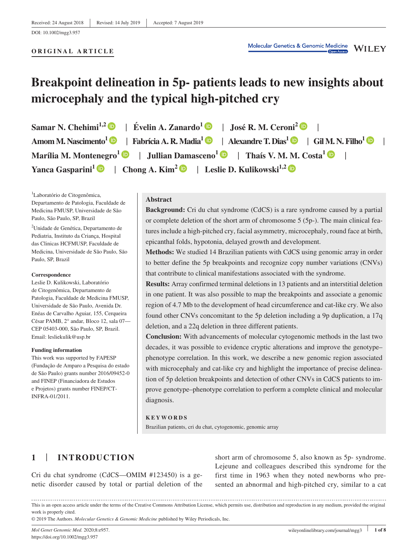#### **ORIGINAL ARTICLE**

# **Breakpoint delineation in 5p‐ patients leads to new insights about microcephaly and the typical high‐pitched cry**

**Samar N. Chehimi<sup>1,2</sup>**  $\bullet$  **| Évelin A. Zanardo<sup>1</sup>**  $\bullet$  **| José R. M. Ceroni<sup>2</sup>**  $\bullet$ **Amom M. Nascimento[1](https://orcid.org/0000-0002-7553-8337)** | **Fabrícia A. R. Madia[1](https://orcid.org/0000-0002-8389-0509)** | **Alexandre T. Dias[1](https://orcid.org/0000-0001-9173-789X)** | **Gil M. N. Filho1** | **Marília M. Montenegro[1](https://orcid.org/0000-0003-3833-7234)** | **Jullian Damasceno[1](https://orcid.org/0000-0002-5921-9459)** | **Thaís V. M. M. Costa<sup>1</sup>** | **Yanca Gasparini<sup>[1](https://orcid.org/0000-0002-7035-7705)</sup>**  $\bullet$  **| Chong A. Kim<sup>[2](https://orcid.org/0000-0003-2236-3956)</sup>**  $\bullet$  **| Leslie D. Kulikowski<sup>1,2</sup>**  $\bullet$ 

<sup>1</sup>Laboratório de Citogenômica, Departamento de Patologia, Faculdade de Medicina FMUSP, Universidade de São Paulo, São Paulo, SP, Brazil

<sup>2</sup>Unidade de Genética, Departamento de Pediatria, Instituto da Criança, Hospital das Clinicas HCFMUSP, Faculdade de Medicina, Universidade de São Paulo, São Paulo, SP, Brazil

#### **Correspondence**

Leslie D. Kulikowski, Laboratório de Citogenômica, Departamento de Patologia, Faculdade de Medicina FMUSP, Universidade de São Paulo, Avenida Dr. Enéas de Carvalho Aguiar, 155, Cerqueira César PAMB, 2° andar, Bloco 12, sala 07— CEP 05403‐000, São Paulo, SP, Brazil. Email: [lesliekulik@usp.br](mailto:lesliekulik@usp.br)

#### **Funding information**

This work was supported by FAPESP (Fundação de Amparo a Pesquisa do estado de São Paulo) grants number 2016/09452‐0 and FINEP (Financiadora de Estudos e Projetos) grants number FINEP/CT‐ INFRA‐01/2011.

#### **Abstract**

**Background:** Cri du chat syndrome (CdCS) is a rare syndrome caused by a partial or complete deletion of the short arm of chromosome  $5(5p)$ . The main clinical features include a high‐pitched cry, facial asymmetry, microcephaly, round face at birth, epicanthal folds, hypotonia, delayed growth and development.

**Methods:** We studied 14 Brazilian patients with CdCS using genomic array in order to better define the 5p breakpoints and recognize copy number variations (CNVs) that contribute to clinical manifestations associated with the syndrome.

**Results:** Array confirmed terminal deletions in 13 patients and an interstitial deletion in one patient. It was also possible to map the breakpoints and associate a genomic region of 4.7 Mb to the development of head circumference and cat-like cry. We also found other CNVs concomitant to the 5p deletion including a 9p duplication, a 17q deletion, and a 22q deletion in three different patients.

**Conclusion:** With advancements of molecular cytogenomic methods in the last two decades, it was possible to evidence cryptic alterations and improve the genotype– phenotype correlation. In this work, we describe a new genomic region associated with microcephaly and cat-like cry and highlight the importance of precise delineation of 5p deletion breakpoints and detection of other CNVs in CdCS patients to improve genotype–phenotype correlation to perform a complete clinical and molecular diagnosis.

#### **KEYWORDS**

Brazilian patients, cri du chat, cytogenomic, genomic array

# **1** | **INTRODUCTION**

Cri du chat syndrome (CdCS—OMIM #123450) is a genetic disorder caused by total or partial deletion of the

short arm of chromosome 5, also known as 5p‐ syndrome. Lejeune and colleagues described this syndrome for the first time in 1963 when they noted newborns who presented an abnormal and high-pitched cry, similar to a cat

This is an open access article under the terms of the [Creative Commons Attribution](http://creativecommons.org/licenses/by/4.0/) License, which permits use, distribution and reproduction in any medium, provided the original work is properly cited.

© 2019 The Authors. *Molecular Genetics & Genomic Medicine* published by Wiley Periodicals, Inc.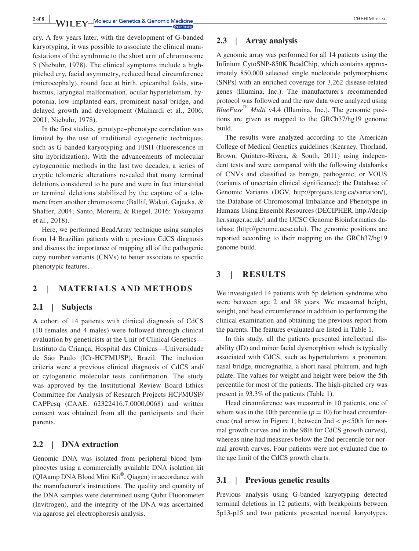**2 of 8 <sup>|</sup>** CHEHIMI et al.

cry. A few years later, with the development of G‐banded karyotyping, it was possible to associate the clinical manifestations of the syndrome to the short arm of chromosome 5 (Niebuhr, 1978). The clinical symptoms include a high‐ pitched cry, facial asymmetry, reduced head circumference (microcephaly), round face at birth, epicanthal folds, strabismus, laryngeal malformation, ocular hypertelorism, hypotonia, low implanted ears, prominent nasal bridge, and delayed growth and development (Mainardi et al., 2006, 2001; Niebuhr, 1978).

In the first studies, genotype–phenotype correlation was limited by the use of traditional cytogenetic techniques, such as G-banded karyotyping and FISH (fluorescence in situ hybridization). With the advancements of molecular cytogenomic methods in the last two decades, a series of cryptic telomeric alterations revealed that many terminal deletions considered to be pure and were in fact interstitial or terminal deletions stabilized by the capture of a telomere from another chromosome (Ballif, Wakui, Gajecka, & Shaffer, 2004; Santo, Moreira, & Riegel, 2016; Yokoyama et al., 2018).

Here, we performed BeadArray technique using samples from 14 Brazilian patients with a previous CdCS diagnosis and discuss the importance of mapping all of the pathogenic copy number variants (CNVs) to better associate to specific phenotypic features.

## **2** | **MATERIALS AND METHODS**

## **2.1** | **Subjects**

A cohort of 14 patients with clinical diagnosis of CdCS (10 females and 4 males) were followed through clinical evaluation by geneticists at the Unit of Clinical Genetics— Instituto da Criança, Hospital das Clínicas—Universidade de São Paulo (ICr‐HCFMUSP), Brazil. The inclusion criteria were a previous clinical diagnosis of CdCS and/ or cytogenetic molecular tests confirmation. The study was approved by the Institutional Review Board Ethics Committee for Analysis of Research Projects HCFMUSP/ CAPPesq (CAAE: 62322416.7.0000.0068) and written consent was obtained from all the participants and their parents.

## **2.2** | **DNA extraction**

Genomic DNA was isolated from peripheral blood lymphocytes using a commercially available DNA isolation kit (QIAamp DNA Blood Mini Kit®, Qiagen) in accordance with the manufacturer's instructions. The quality and quantity of the DNA samples were determined using Qubit Fluorometer (Invitrogen), and the integrity of the DNA was ascertained via agarose gel electrophoresis analysis.

## **2.3** | **Array analysis**

A genomic array was performed for all 14 patients using the Infinium CytoSNP‐850K BeadChip, which contains approximately 850,000 selected single nucleotide polymorphisms (SNPs) with an enriched coverage for 3,262 disease‐related genes (Illumina, Inc.). The manufacturer's recommended protocol was followed and the raw data were analyzed using *BlueFuse*<sup>™</sup> *Multi* v4.4 (Illumina, Inc.). The genomic positions are given as mapped to the GRCh37/hg19 genome build.

The results were analyzed according to the American College of Medical Genetics guidelines (Kearney, Thorland, Brown, Quintero‐Rivera, & South, 2011) using independent tests and were compared with the following databanks of CNVs and classified as benign, pathogenic, or VOUS (variants of uncertain clinical significance): the Database of Genomic Variants (DGV, [http://projects.tcag.ca/variation/\)](http://projects.tcag.ca/variation/), the Database of Chromosomal Imbalance and Phenotype in Humans Using Ensembl Resources (DECIPHER, [http://decip](http://decipher.sanger.ac.uk/) [her.sanger.ac.uk/](http://decipher.sanger.ac.uk/)) and the UCSC Genome Bioinformatics database (<http://genome.ucsc.edu>). The genomic positions are reported according to their mapping on the GRCh37/hg19 genome build.

## **3** | **RESULTS**

We investigated 14 patients with 5p deletion syndrome who were between age 2 and 38 years. We measured height, weight, and head circumference in addition to performing the clinical examination and obtaining the previous report from the parents. The features evaluated are listed in Table 1.

In this study, all the patients presented intellectual disability (ID) and minor facial dysmorphism which is typically associated with CdCS, such as hypertelorism, a prominent nasal bridge, micrognathia, a short nasal philtrum, and high palate. The values for weight and height were below the 5th percentile for most of the patients. The high‐pitched cry was present in 93.3% of the patients (Table 1).

Head circumference was measured in 10 patients, one of whom was in the 10th percentile  $(p = 10)$  for head circumference (red arrow in Figure 1, between 2nd < *p*<50th for normal growth curves and in the 98th for CdCS growth curves), whereas nine had measures below the 2nd percentile for normal growth curves. Four patients were not evaluated due to the age limit of the CdCS growth charts.

### **3.1** | **Previous genetic results**

Previous analysis using G‐banded karyotyping detected terminal deletions in 12 patients, with breakpoints between 5p13‐p15 and two patients presented normal karyotypes.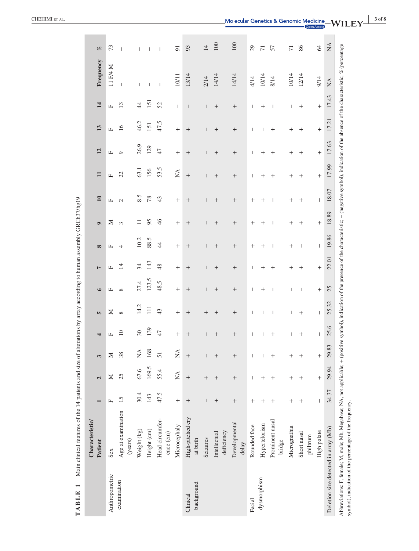|                                      | <b>Characteristic</b><br>Patient                                                                                                          |              | $\overline{\mathbf{C}}$        | 3                               | 4                  | <b>In</b>    | $\bullet$ | $\overline{ }$     | $\infty$           | $\bullet$ | $\mathbf{10}$            | $\mathbf{H}$       | 12                 | 13                 | $\overline{14}$          | Frequency                                                                                                                                         | ol                       |
|--------------------------------------|-------------------------------------------------------------------------------------------------------------------------------------------|--------------|--------------------------------|---------------------------------|--------------------|--------------|-----------|--------------------|--------------------|-----------|--------------------------|--------------------|--------------------|--------------------|--------------------------|---------------------------------------------------------------------------------------------------------------------------------------------------|--------------------------|
| Anthropometric                       | Sex                                                                                                                                       | $\mathbf{L}$ | Σ                              | Z                               | $\square$          | ≍            | щ         | Щ                  | Щ                  | Σ         | $\mathbf{L}$             | $\mathbf{L}$       | Щ                  | $\mathbf{L}$       | $\mathbf{L}$             | 11 F/4 M                                                                                                                                          | 73                       |
| examination                          | Age at examination<br>(years)                                                                                                             | 15           | 25                             | 38                              | 10                 | $\infty$     | $\infty$  | $\overline{1}$     | $\overline{4}$     | 3         | $\mathcal{L}$            | $\mathfrak{L}$     | $\circ$            | 16                 | 13                       | $\mathbf{I}$                                                                                                                                      | $\overline{\phantom{a}}$ |
|                                      | Weight (kg)                                                                                                                               | 30.4         | 67.6                           | $\stackrel{\triangle}{\rm N}$   | 30                 | 14.2         | 27.4      | 34                 | 10.2               |           | 8.5                      | 63.1               | 26.9               | 46.2               | $\overline{4}$           | T                                                                                                                                                 | 1                        |
|                                      | Height (cm)                                                                                                                               | 143          | 169.5                          | 168                             | 139                | 111          | 123.5     | 143                | 88.5               | 95        | 78                       | 156                | 129                | 151                | 151                      |                                                                                                                                                   | Т                        |
|                                      | Head circumfer-<br>ence (cm)                                                                                                              | 47.5         | 55.4                           | 51                              | 47                 | 43           | 48.5      | 48                 | $\overline{4}$     | 46        | 43                       | 53.5               | 47                 | 47.5               | 52                       | $\overline{\phantom{a}}$                                                                                                                          | $\overline{\phantom{a}}$ |
|                                      | Microcephaly                                                                                                                              | $^{+}$       | $\stackrel{\triangle}{\simeq}$ | $\stackrel{\triangle}{\approx}$ | $^{+}$             | $^{+}$       | $^{+}$    | $^{+}$             | $^{+}$             | $^{+}$    | $^{+}$                   | $\lessapprox$      | $^{+}$             | $^{+}$             | $\overline{\phantom{a}}$ | 10/11                                                                                                                                             | $\overline{9}$           |
| background<br>Clinical               | High-pitched cry<br>at birth                                                                                                              | $^{+}$       | $^{+}$                         | $^{+}$                          | $^{+}$             | $^{+}$       | $^{+}$    | $^{+}$             | $^{+}$             | $^{+}$    | $^{+}$                   | $^{+}$             | $^{+}$             | $^{+}$             | $\overline{\phantom{a}}$ | 13/14                                                                                                                                             | 93                       |
|                                      | Seizures                                                                                                                                  | I            | $^{+}$                         | Ī                               | ı                  | $\,+\,$      | I         | T                  | Ī                  | I         | Ī                        | T                  | T                  | I                  | I                        | 2/14                                                                                                                                              | 14                       |
|                                      | deficiency<br>Intellectual                                                                                                                | $^{+}$       | $^{+}$                         | $^{+}$                          | $^{+}$             | $^{+}$       | $^{+}$    | $^{+}$             | $^{+}$             | $^{+}$    | $^+$                     | $^{+}$             | $^{+}$             | $^+$               | $^{+}$                   | 14/14                                                                                                                                             | $100\,$                  |
|                                      | Developmental<br>delay                                                                                                                    | $^{+}$       | $^{+}$                         | $^{+}$                          | $^{+}$             | $^{+}$       | $^+$      | $^{+}$             | $^{+}$             | $\, +$    | $^+$                     | $\! +$             | $^{+}$             | $^+$               | $^{+}$                   | 14/14                                                                                                                                             | 100                      |
| Facial                               | Rounded face                                                                                                                              | $^{+}$       | I                              | I                               | I                  | I            | I         | I                  | $\,+\,$            | $\,{}^+$  | $^{+}$                   | I                  | I                  | I                  | I                        | 4/14                                                                                                                                              | 29                       |
| dysmorphism                          | Hypertelorism                                                                                                                             | $^+$         | $^{+}$                         | $\overline{\phantom{a}}$        | $\mathbf{I}$       | $\mathbf{I}$ | $\,{}^+$  | $\hspace{0.1mm} +$ | $\hspace{0.1mm} +$ | $^+$      | $\hspace{0.1mm} +$       | $\hspace{0.1mm} +$ | $\hspace{0.1mm} +$ | $\mathsf{I}$       | $^{+}$                   | 10/14                                                                                                                                             | $\overline{71}$          |
|                                      | Prominent nasal<br>bridge                                                                                                                 | $^{+}$       | $\,^+$                         | $^{+}$                          | $\hspace{0.1mm} +$ | I            | I         | $^{+}$             | $\overline{1}$     | I         | $\overline{\phantom{a}}$ | $\hspace{0.1mm} +$ | $\hspace{0.1mm} +$ | $\hspace{0.1mm} +$ | $\overline{\phantom{a}}$ | 8/14                                                                                                                                              | 57                       |
|                                      | Micrognathia                                                                                                                              | $\,{}^+$     | $^{+}$                         | $^{+}$                          | Т                  | T            | T         | $\hspace{0.1mm} +$ | $\hspace{0.1mm} +$ | $^+$      | $\hspace{0.1mm} +$       | $\hspace{0.1mm} +$ | $\hspace{0.1mm} +$ | $^{+}$             | Т                        | 10/14                                                                                                                                             | $\overline{71}$          |
|                                      | Short nasal<br>philtrum                                                                                                                   | $^{+}$       | $^{+}$                         | $\,{}^+$                        | $^+$               | $^+$         | -1        | $^{+}$             | $\mathbf{I}$       | $^{+}$    | $^{+}$                   | $^{+}$             | $\,{}^+$           | $^{+}$             | $^{+}$                   | 12/14                                                                                                                                             | 86                       |
|                                      | High palate                                                                                                                               | I            | $^{+}$                         | $^{+}$                          | I                  | J.           | $^{+}$    | $^{+}$             | I                  | $^{+}$    | $\overline{\phantom{a}}$ | $^{+}$             | $^{+}$             | $^{+}$             | $^{+}$                   | 9/14                                                                                                                                              | $\mathcal{A}$            |
| Deletion size detected in array (Mb) |                                                                                                                                           | 34.37        | 29.94                          | 29.83                           | 25.6               | 25.32        | 25        | 22.01              | 19.86              | 18.89     | 18.07                    | 17.99              | 17.63              | 17.21              | 17.43                    | $\stackrel{\displaystyle\triangle}{\scriptstyle\sim}$                                                                                             | $\lesssim$               |
|                                      | Abbreviations: F, female; M, male; Mb, Megabase; NA, not applicable; + (positi<br>symbol), indication of the percentage of the frequency. |              |                                |                                 |                    |              |           |                    |                    |           |                          |                    |                    |                    |                          | ve symbol), indication of the presence of the characteristic; – (negative symbol), indication of the absence of the characteristic; % (percentage |                          |
|                                      |                                                                                                                                           |              |                                |                                 |                    |              |           |                    |                    |           |                          |                    |                    |                    |                          |                                                                                                                                                   |                          |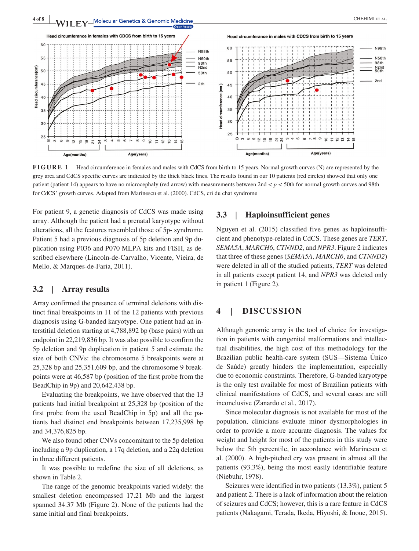

**FIGURE 1** Head circumference in females and males with CdCS from birth to 15 years. Normal growth curves (N) are represented by the grey area and CdCS specific curves are indicated by the thick black lines. The results found in our 10 patients (red circles) showed that only one patient (patient 14) appears to have no microcephaly (red arrow) with measurements between 2nd < *p* < 50th for normal growth curves and 98th for CdCS' growth curves. Adapted from Marinescu et al. (2000). CdCS, cri du chat syndrome

For patient 9, a genetic diagnosis of CdCS was made using array. Although the patient had a prenatal karyotype without alterations, all the features resembled those of 5p‐ syndrome. Patient 5 had a previous diagnosis of 5p deletion and 9p duplication using P036 and P070 MLPA kits and FISH, as described elsewhere (Lincoln‐de‐Carvalho, Vicente, Vieira, de Mello, & Marques‐de‐Faria, 2011).

## **3.2** | **Array results**

Array confirmed the presence of terminal deletions with distinct final breakpoints in 11 of the 12 patients with previous diagnosis using G‐banded karyotype. One patient had an interstitial deletion starting at 4,788,892 bp (base pairs) with an endpoint in 22,219,836 bp. It was also possible to confirm the 5p deletion and 9p duplication in patient 5 and estimate the size of both CNVs: the chromosome 5 breakpoints were at 25,328 bp and 25,351,609 bp, and the chromosome 9 breakpoints were at 46,587 bp (position of the first probe from the BeadChip in 9p) and 20,642,438 bp.

Evaluating the breakpoints, we have observed that the 13 patients had initial breakpoint at 25,328 bp (position of the first probe from the used BeadChip in 5p) and all the patients had distinct end breakpoints between 17,235,998 bp and 34,376,825 bp.

We also found other CNVs concomitant to the 5p deletion including a 9p duplication, a 17q deletion, and a 22q deletion in three different patients.

It was possible to redefine the size of all deletions, as shown in Table 2.

The range of the genomic breakpoints varied widely: the smallest deletion encompassed 17.21 Mb and the largest spanned 34.37 Mb (Figure 2). None of the patients had the same initial and final breakpoints.

#### **3.3** | **Haploinsufficient genes**

Nguyen et al. (2015) classified five genes as haploinsufficient and phenotype‐related in CdCS. These genes are *TERT*, *SEMA5A*, *MARCH6*, *CTNND2*, and *NPR3*. Figure 2 indicates that three of these genes (*SEMA5A*, *MARCH6*, and *CTNND2*) were deleted in all of the studied patients, *TERT* was deleted in all patients except patient 14, and *NPR3* was deleted only in patient 1 (Figure 2).

## **4** | **DISCUSSION**

Although genomic array is the tool of choice for investigation in patients with congenital malformations and intellectual disabilities, the high cost of this methodology for the Brazilian public health‐care system (SUS—Sistema Único de Saúde) greatly hinders the implementation, especially due to economic constraints. Therefore, G‐banded karyotype is the only test available for most of Brazilian patients with clinical manifestations of CdCS, and several cases are still inconclusive (Zanardo et al., 2017).

Since molecular diagnosis is not available for most of the population, clinicians evaluate minor dysmorphologies in order to provide a more accurate diagnosis. The values for weight and height for most of the patients in this study were below the 5th percentile, in accordance with Marinescu et al. (2000). A high‐pitched cry was present in almost all the patients (93.3%), being the most easily identifiable feature (Niebuhr, 1978).

Seizures were identified in two patients (13.3%), patient 5 and patient 2. There is a lack of information about the relation of seizures and CdCS; however, this is a rare feature in CdCS patients (Nakagami, Terada, Ikeda, Hiyoshi, & Inoue, 2015).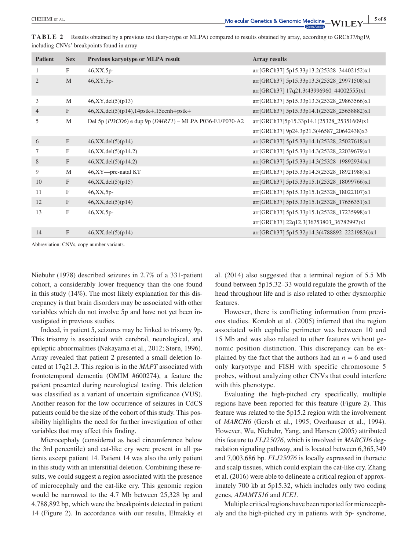| <b>Patient</b> | <b>Sex</b>       | Previous karyotype or MLPA result                          | <b>Array results</b>                         |
|----------------|------------------|------------------------------------------------------------|----------------------------------------------|
| 1              | F                | $46, XX, 5p$ -                                             | arr[GRCh37] 5p15.33p13.2(25328_34402152)x1   |
| $\overline{2}$ | M                | $46, XY, 5p$ -                                             | arr[GRCh37] 5p15.33p13.3(25328_29971508)x1   |
|                |                  |                                                            | arr[GRCh37] 17q21.3(43996960_44002555)x1     |
| 3              | M                | 46, XY, del(5)(p13)                                        | arr[GRCh37] 5p15.33p13.3(25328_29863566)x1   |
| $\overline{4}$ | F                | $46, XX, del(5)(p14), 14pstk+, 15cenh+pstk+$               | arr[GRCh37] 5p15.33p14.1(25328_25658882)x1   |
| 5              | M                | Del 5p (PDCD6) e dup 9p ( $DMRT1$ ) – MLPA P036-E1/P070-A2 | arr[GRCh37]5p15.33p14.1(25328_25351609)x1    |
|                |                  |                                                            | arr[GRCh37] 9p24.3p21.3(46587_20642438)x3    |
| 6              | F                | 46, XX, del(5)(p14)                                        | arr[GRCh37] 5p15.33p14.1(25328_25027618)x1   |
| 7              | F                | 46, XX, del(5)(p14.2)                                      | arr[GRCh37] 5p15.33p14.3(25328_22039679)x1   |
| 8              | $\boldsymbol{F}$ | 46, XX, del(5)(p14.2)                                      | arr[GRCh37] 5p15.33p14.3(25328_19892934)x1   |
| 9              | M                | 46,XY-pre-natal KT                                         | arr[GRCh37] 5p15.33p14.3(25328_18921988)x1   |
| 10             | $\mathbf{F}$     | 46, XX, del(5)(p15)                                        | arr[GRCh37] 5p15.33p15.1(25328_18099766)x1   |
| 11             | $_{\rm F}$       | $46, XX, 5p$ -                                             | arr[GRCh37] 5p15.33p15.1(25328_18022107)x1   |
| 12             | $\mathbf{F}$     | 46, XX, del(5)(p14)                                        | arr[GRCh37] 5p15.33p15.1(25328_17656351)x1   |
| 13             | $_{\rm F}$       | $46, XX, 5p-$                                              | arr[GRCh37] 5p15.33p15.1(25328_17235998)x1   |
|                |                  |                                                            | arr[GRCh37] 22q12.3(36753803_36782997)x1     |
| 14             | $\mathbf{F}$     | 46, XX, del(5)(p14)                                        | arr[GRCh37] 5p15.32p14.3(4788892_22219836)x1 |

**TABLE 2** Results obtained by a previous test (karyotype or MLPA) compared to results obtained by array, according to GRCh37/hg19, including CNVs' breakpoints found in array

Abbreviation: CNVs, copy number variants.

Niebuhr (1978) described seizures in 2.7% of a 331‐patient cohort, a considerably lower frequency than the one found in this study (14%). The most likely explanation for this discrepancy is that brain disorders may be associated with other variables which do not involve 5p and have not yet been investigated in previous studies.

Indeed, in patient 5, seizures may be linked to trisomy 9p. This trisomy is associated with cerebral, neurological, and epileptic abnormalities (Nakayama et al., 2012; Stern, 1996). Array revealed that patient 2 presented a small deletion located at 17q21.3. This region is in the *MAPT* associated with frontotemporal dementia (OMIM #600274), a feature the patient presented during neurological testing. This deletion was classified as a variant of uncertain significance (VUS). Another reason for the low occurrence of seizures in CdCS patients could be the size of the cohort of this study. This possibility highlights the need for further investigation of other variables that may affect this finding.

Microcephaly (considered as head circumference below the 3rd percentile) and cat-like cry were present in all patients except patient 14. Patient 14 was also the only patient in this study with an interstitial deletion. Combining these results, we could suggest a region associated with the presence of microcephaly and the cat‐like cry. This genomic region would be narrowed to the 4.7 Mb between 25,328 bp and 4,788,892 bp, which were the breakpoints detected in patient 14 (Figure 2). In accordance with our results, Elmakky et al. (2014) also suggested that a terminal region of 5.5 Mb found between 5p15.32–33 would regulate the growth of the head throughout life and is also related to other dysmorphic features.

However, there is conflicting information from previous studies. Kondoh et al. (2005) inferred that the region associated with cephalic perimeter was between 10 and 15 Mb and was also related to other features without genomic position distinction. This discrepancy can be explained by the fact that the authors had an  $n = 6$  and used only karyotype and FISH with specific chromosome 5 probes, without analyzing other CNVs that could interfere with this phenotype.

Evaluating the high‐pitched cry specifically, multiple regions have been reported for this feature (Figure 2). This feature was related to the 5p15.2 region with the involvement of *MARCH6* (Gersh et al., 1995; Overhauser et al., 1994). However, Wu, Niebuhr, Yang, and Hansen (2005) attributed this feature to *FLJ25076*, which is involved in *MARCH6* degradation signaling pathway, and is located between 6,365,349 and 7,003,686 bp. *FLJ25076* is locally expressed in thoracic and scalp tissues, which could explain the cat‐like cry. Zhang et al. (2016) were able to delineate a critical region of approximately 700 kb at 5p15.32, which includes only two coding genes, *ADAMTS16* and *ICE1*.

Multiple critical regions have been reported for microcephaly and the high‐pitched cry in patients with 5p‐ syndrome,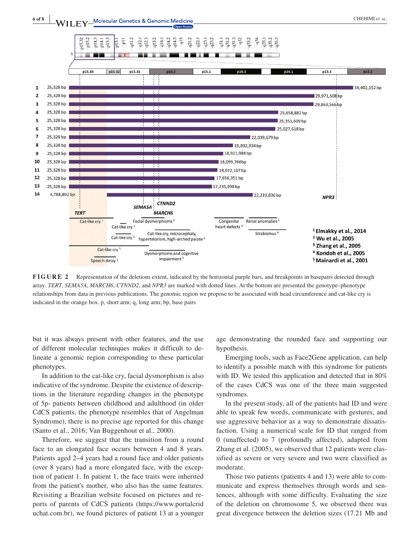



**FIGURE 2** Representation of the deletions extent, indicated by the horizontal purple bars, and breakpoints in basepairs detected through array. *TERT*, *SEMA5A*, *MARCH6*, *CTNND2*, and *NPR3* are marked with dotted lines. At the bottom are presented the genotype–phenotype relationships from data in previous publications. The genomic region we propose to be associated with head circumference and cat‐like cry is indicated in the orange box. p, short arm; q, long arm; bp, base pairs

but it was always present with other features, and the use of different molecular techniques makes it difficult to delineate a genomic region corresponding to these particular phenotypes.

In addition to the cat-like cry, facial dysmorphism is also indicative of the syndrome. Despite the existence of descriptions in the literature regarding changes in the phenotype of 5p‐ patients between childhood and adulthood (in older CdCS patients, the phenotype resembles that of Angelman Syndrome), there is no precise age reported for this change (Santo et al., 2016; Van Buggenhout et al., 2000).

Therefore, we suggest that the transition from a round face to an elongated face occurs between 4 and 8 years. Patients aged 2–4 years had a round face and older patients (over 8 years) had a more elongated face, with the exception of patient 1. In patient 1, the face traits were inherited from the patient's mother, who also has the same features. Revisiting a Brazilian website focused on pictures and reports of parents of CdCS patients ([https://www.portalcrid](https://www.portalcriduchat.com.br) [uchat.com.br\)](https://www.portalcriduchat.com.br), we found pictures of patient 13 at a younger age demonstrating the rounded face and supporting our hypothesis.

Emerging tools, such as Face2Gene application, can help to identify a possible match with this syndrome for patients with ID. We tested this application and detected that in 80% of the cases CdCS was one of the three main suggested syndromes.

In the present study, all of the patients had ID and were able to speak few words, communicate with gestures, and use aggressive behavior as a way to demonstrate dissatisfaction. Using a numerical scale for ID that ranged from 0 (unaffected) to 7 (profoundly affected), adapted from Zhang et al. (2005), we observed that 12 patients were classified as severe or very severe and two were classified as moderate.

Those two patients (patients 4 and 13) were able to communicate and express themselves through words and sentences, although with some difficulty. Evaluating the size of the deletion on chromosome 5, we observed there was great divergence between the deletion sizes (17.21 Mb and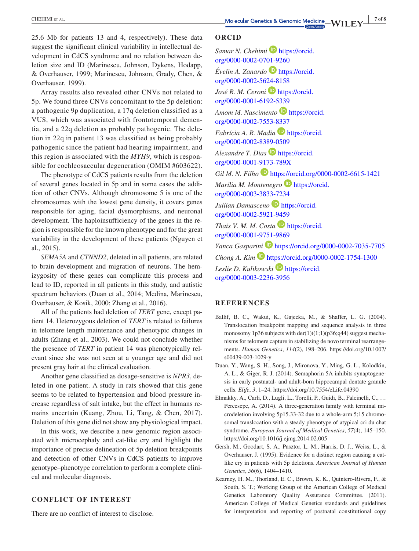25.6 Mb for patients 13 and 4, respectively). These data suggest the significant clinical variability in intellectual development in CdCS syndrome and no relation between deletion size and ID (Marinescu, Johnson, Dykens, Hodapp, & Overhauser, 1999; Marinescu, Johnson, Grady, Chen, & Overhauser, 1999).

Array results also revealed other CNVs not related to 5p. We found three CNVs concomitant to the 5p deletion: a pathogenic 9p duplication, a 17q deletion classified as a VUS, which was associated with frontotemporal dementia, and a 22q deletion as probably pathogenic. The deletion in 22q in patient 13 was classified as being probably pathogenic since the patient had hearing impairment, and this region is associated with the *MYH9*, which is responsible for cochleosaccular degeneration (OMIM #603622).

The phenotype of CdCS patients results from the deletion of several genes located in 5p and in some cases the addition of other CNVs. Although chromosome 5 is one of the chromosomes with the lowest gene density, it covers genes responsible for aging, facial dysmorphisms, and neuronal development. The haploinsufficiency of the genes in the region is responsible for the known phenotype and for the great variability in the development of these patients (Nguyen et al., 2015).

*SEMA5A* and *CTNND2*, deleted in all patients, are related to brain development and migration of neurons. The hemizygosity of these genes can complicate this process and lead to ID, reported in all patients in this study, and autistic spectrum behaviors (Duan et al., 2014; Medina, Marinescu, Overhauser, & Kosik, 2000; Zhang et al., 2016).

All of the patients had deletion of *TERT* gene, except patient 14. Heterozygous deletion of *TERT* is related to failures in telomere length maintenance and phenotypic changes in adults (Zhang et al., 2003). We could not conclude whether the presence of *TERT* in patient 14 was phenotypically relevant since she was not seen at a younger age and did not present gray hair at the clinical evaluation.

Another gene classified as dosage‐sensitive is *NPR3*, deleted in one patient. A study in rats showed that this gene seems to be related to hypertension and blood pressure increase regardless of salt intake, but the effect in humans remains uncertain (Kuang, Zhou, Li, Tang, & Chen, 2017). Deletion of this gene did not show any physiological impact.

In this work, we describe a new genomic region associated with microcephaly and cat‐like cry and highlight the importance of precise delineation of 5p deletion breakpoints and detection of other CNVs in CdCS patients to improve genotype–phenotype correlation to perform a complete clinical and molecular diagnosis.

#### **CONFLICT OF INTEREST**

There are no conflict of interest to disclose.

#### **ORCID**

*Samar N. Chehimi* **b** [https://orcid.](https://orcid.org/0000-0002-0701-9260) [org/0000-0002-0701-9260](https://orcid.org/0000-0002-0701-9260)

*Évelin A. Zanardo* [https://orcid.](https://orcid.org/0000-0002-5624-8158) [org/0000-0002-5624-8158](https://orcid.org/0000-0002-5624-8158)

*José R. M. Ceroni* **D** [https://orcid.](https://orcid.org/0000-0001-6192-5339) [org/0000-0001-6192-5339](https://orcid.org/0000-0001-6192-5339)

*Amom M. Nascimento* **[https://orcid.](https://orcid.org/0000-0002-7553-8337)** [org/0000-0002-7553-8337](https://orcid.org/0000-0002-7553-8337)

*Fabrícia A. R. Madia* **[https://orcid.](https://orcid.org/0000-0002-8389-0509)** [org/0000-0002-8389-0509](https://orcid.org/0000-0002-8389-0509)

*Alexandre T. Dias* **D** [https://orcid.](https://orcid.org/0000-0001-9173-789X) [org/0000-0001-9173-789X](https://orcid.org/0000-0001-9173-789X)

*Gil M. N. Filho* <https://orcid.org/0000-0002-6615-1421> *Marília M. Montenegro* **D** [https://orcid.](https://orcid.org/0000-0003-3833-7234) [org/0000-0003-3833-7234](https://orcid.org/0000-0003-3833-7234) *Jullian Damasceno* [https://orcid.](https://orcid.org/0000-0002-5921-9459) [org/0000-0002-5921-9459](https://orcid.org/0000-0002-5921-9459) *Thaís V. M. M. Costa* **[https://orcid.](https://orcid.org/0000-0001-9751-9869)** [org/0000-0001-9751-9869](https://orcid.org/0000-0001-9751-9869) *Yanca Gasparini* <https://orcid.org/0000-0002-7035-7705> *Chong A. Kim* **b** <https://orcid.org/0000-0002-1754-1300> Leslie D. Kulikowski<sup>D</sup> [https://orcid.](https://orcid.org/0000-0003-2236-3956) [org/0000-0003-2236-3956](https://orcid.org/0000-0003-2236-3956)

#### **REFERENCES**

- Ballif, B. C., Wakui, K., Gajecka, M., & Shaffer, L. G. (2004). Translocation breakpoint mapping and sequence analysis in three monosomy 1p36 subjects with der(1)t(1;1)(p36;q44) suggest mechanisms for telomere capture in stabilizing de novo terminal rearrangements. *Human Genetics*, *114*(2), 198–206. [https://doi.org/10.1007/](https://doi.org/10.1007/s00439-003-1029-y) [s00439-003-1029-y](https://doi.org/10.1007/s00439-003-1029-y)
- Duan, Y., Wang, S. H., Song, J., Mironova, Y., Ming, G. L., Kolodkin, A. L., & Giger, R. J. (2014). Semaphorin 5A inhibits synaptogenesis in early postnatal‐ and adult‐born hippocampal dentate granule cells. *Elife*, *3*, 1–24. <https://doi.org/10.7554/eLife.04390>
- Elmakky, A., Carli, D., Lugli, L., Torelli, P., Guidi, B., Falcinelli, C., … Percesepe, A. (2014). A three‐generation family with terminal microdeletion involving 5p15.33-32 due to a whole-arm 5;15 chromosomal translocation with a steady phenotype of atypical cri du chat syndrome. *European Journal of Medical Genetics*, *57*(4), 145–150. <https://doi.org/10.1016/j.ejmg.2014.02.005>
- Gersh, M., Goodart, S. A., Pasztor, L. M., Harris, D. J., Weiss, L., & Overhauser, J. (1995). Evidence for a distinct region causing a catlike cry in patients with 5p deletions. *American Journal of Human Genetics*, *56*(6), 1404–1410.
- Kearney, H. M., Thorland, E. C., Brown, K. K., Quintero‐Rivera, F., & South, S. T.; Working Group of the American College of Medical Genetics Laboratory Quality Assurance Committee. (2011). American College of Medical Genetics standards and guidelines for interpretation and reporting of postnatal constitutional copy